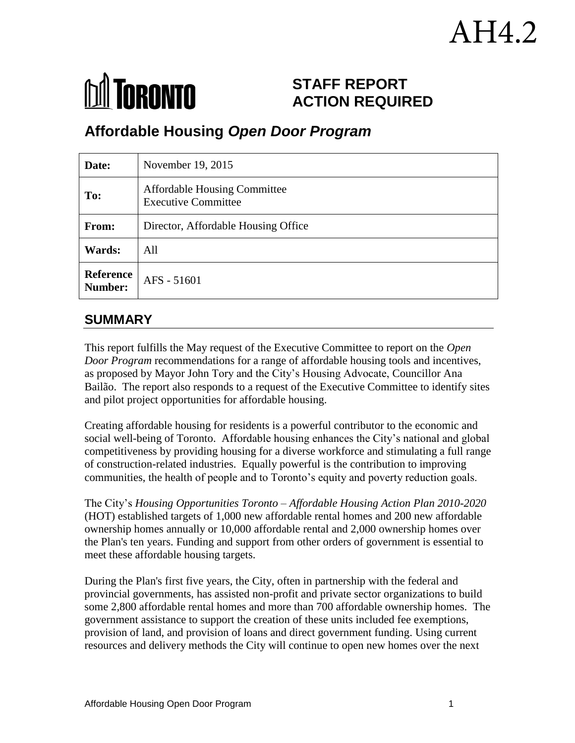# .H4.2



# **STAFF REPORT ACTION REQUIRED**

# **Affordable Housing** *Open Door Program*

| Date:                       | November 19, 2015                                                 |
|-----------------------------|-------------------------------------------------------------------|
| To:                         | <b>Affordable Housing Committee</b><br><b>Executive Committee</b> |
| From:                       | Director, Affordable Housing Office                               |
| Wards:                      | All                                                               |
| <b>Reference</b><br>Number: | AFS - 51601                                                       |

# **SUMMARY**

This report fulfills the May request of the Executive Committee to report on the *Open Door Program* recommendations for a range of affordable housing tools and incentives, as proposed by Mayor John Tory and the City's Housing Advocate, Councillor Ana Bailão. The report also responds to a request of the Executive Committee to identify sites and pilot project opportunities for affordable housing.

Creating affordable housing for residents is a powerful contributor to the economic and social well-being of Toronto. Affordable housing enhances the City's national and global competitiveness by providing housing for a diverse workforce and stimulating a full range of construction-related industries. Equally powerful is the contribution to improving communities, the health of people and to Toronto's equity and poverty reduction goals.

The City's *Housing Opportunities Toronto – Affordable Housing Action Plan 2010-2020* (HOT) established targets of 1,000 new affordable rental homes and 200 new affordable ownership homes annually or 10,000 affordable rental and 2,000 ownership homes over the Plan's ten years. Funding and support from other orders of government is essential to meet these affordable housing targets.

During the Plan's first five years, the City, often in partnership with the federal and provincial governments, has assisted non-profit and private sector organizations to build some 2,800 affordable rental homes and more than 700 affordable ownership homes. The government assistance to support the creation of these units included fee exemptions, provision of land, and provision of loans and direct government funding. Using current resources and delivery methods the City will continue to open new homes over the next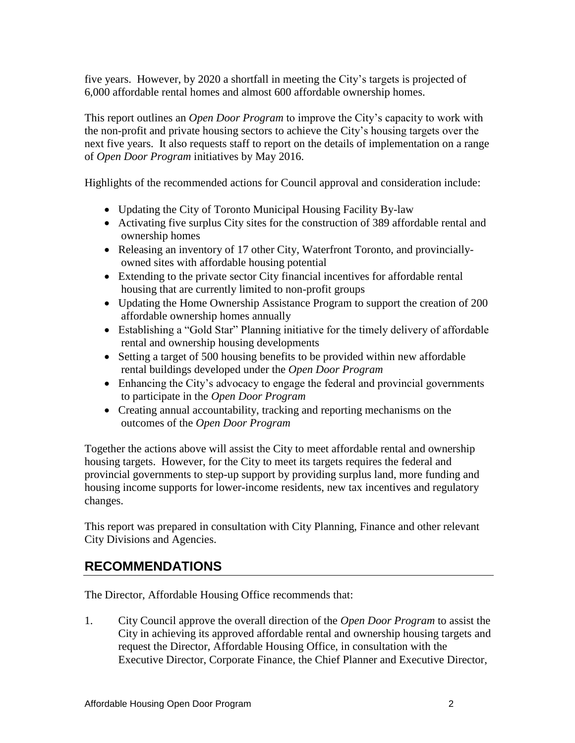five years. However, by 2020 a shortfall in meeting the City's targets is projected of 6,000 affordable rental homes and almost 600 affordable ownership homes.

This report outlines an *Open Door Program* to improve the City's capacity to work with the non-profit and private housing sectors to achieve the City's housing targets over the next five years. It also requests staff to report on the details of implementation on a range of *Open Door Program* initiatives by May 2016.

Highlights of the recommended actions for Council approval and consideration include:

- Updating the City of Toronto Municipal Housing Facility By-law
- Activating five surplus City sites for the construction of 389 affordable rental and ownership homes
- Releasing an inventory of 17 other City, Waterfront Toronto, and provinciallyowned sites with affordable housing potential
- Extending to the private sector City financial incentives for affordable rental housing that are currently limited to non-profit groups
- Updating the Home Ownership Assistance Program to support the creation of 200 affordable ownership homes annually
- Establishing a "Gold Star" Planning initiative for the timely delivery of affordable rental and ownership housing developments
- Setting a target of 500 housing benefits to be provided within new affordable rental buildings developed under the *Open Door Program*
- Enhancing the City's advocacy to engage the federal and provincial governments to participate in the *Open Door Program*
- Creating annual accountability, tracking and reporting mechanisms on the outcomes of the *Open Door Program*

Together the actions above will assist the City to meet affordable rental and ownership housing targets. However, for the City to meet its targets requires the federal and provincial governments to step-up support by providing surplus land, more funding and housing income supports for lower-income residents, new tax incentives and regulatory changes.

This report was prepared in consultation with City Planning, Finance and other relevant City Divisions and Agencies.

# **RECOMMENDATIONS**

The Director, Affordable Housing Office recommends that:

1. City Council approve the overall direction of the *Open Door Program* to assist the City in achieving its approved affordable rental and ownership housing targets and request the Director, Affordable Housing Office, in consultation with the Executive Director, Corporate Finance, the Chief Planner and Executive Director,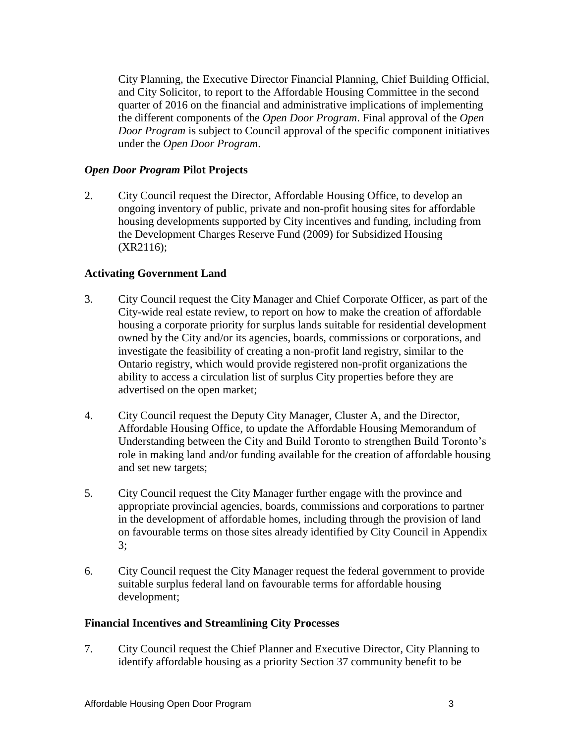City Planning, the Executive Director Financial Planning, Chief Building Official, and City Solicitor, to report to the Affordable Housing Committee in the second quarter of 2016 on the financial and administrative implications of implementing the different components of the *Open Door Program*. Final approval of the *Open Door Program* is subject to Council approval of the specific component initiatives under the *Open Door Program*.

#### *Open Door Program* **Pilot Projects**

2. City Council request the Director, Affordable Housing Office, to develop an ongoing inventory of public, private and non-profit housing sites for affordable housing developments supported by City incentives and funding, including from the Development Charges Reserve Fund (2009) for Subsidized Housing (XR2116);

#### **Activating Government Land**

- 3. City Council request the City Manager and Chief Corporate Officer, as part of the City-wide real estate review, to report on how to make the creation of affordable housing a corporate priority for surplus lands suitable for residential development owned by the City and/or its agencies, boards, commissions or corporations, and investigate the feasibility of creating a non-profit land registry, similar to the Ontario registry, which would provide registered non-profit organizations the ability to access a circulation list of surplus City properties before they are advertised on the open market;
- 4. City Council request the Deputy City Manager, Cluster A, and the Director, Affordable Housing Office, to update the Affordable Housing Memorandum of Understanding between the City and Build Toronto to strengthen Build Toronto's role in making land and/or funding available for the creation of affordable housing and set new targets;
- 5. City Council request the City Manager further engage with the province and appropriate provincial agencies, boards, commissions and corporations to partner in the development of affordable homes, including through the provision of land on favourable terms on those sites already identified by City Council in Appendix 3;
- 6. City Council request the City Manager request the federal government to provide suitable surplus federal land on favourable terms for affordable housing development;

#### **Financial Incentives and Streamlining City Processes**

7. City Council request the Chief Planner and Executive Director, City Planning to identify affordable housing as a priority Section 37 community benefit to be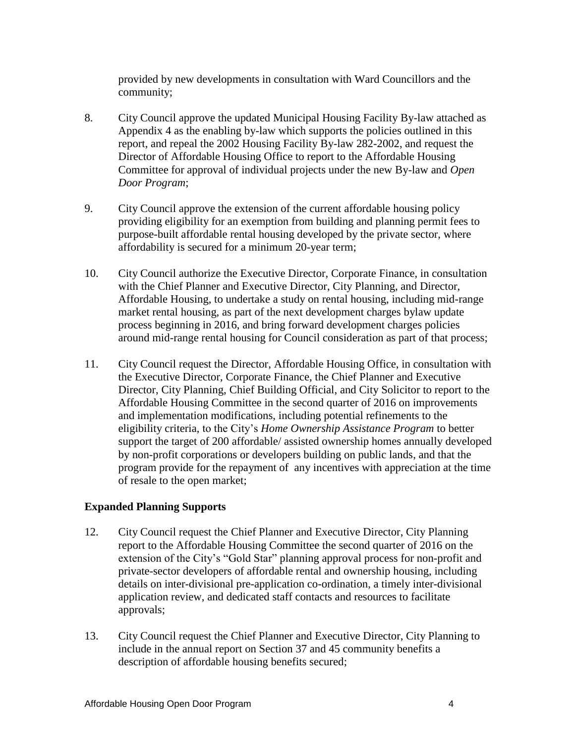provided by new developments in consultation with Ward Councillors and the community;

- 8. City Council approve the updated Municipal Housing Facility By-law attached as Appendix 4 as the enabling by-law which supports the policies outlined in this report, and repeal the 2002 Housing Facility By-law 282-2002, and request the Director of Affordable Housing Office to report to the Affordable Housing Committee for approval of individual projects under the new By-law and *Open Door Program*;
- 9. City Council approve the extension of the current affordable housing policy providing eligibility for an exemption from building and planning permit fees to purpose-built affordable rental housing developed by the private sector, where affordability is secured for a minimum 20-year term;
- 10. City Council authorize the Executive Director, Corporate Finance, in consultation with the Chief Planner and Executive Director, City Planning, and Director, Affordable Housing, to undertake a study on rental housing, including mid-range market rental housing, as part of the next development charges bylaw update process beginning in 2016, and bring forward development charges policies around mid-range rental housing for Council consideration as part of that process;
- 11. City Council request the Director, Affordable Housing Office, in consultation with the Executive Director, Corporate Finance, the Chief Planner and Executive Director, City Planning, Chief Building Official, and City Solicitor to report to the Affordable Housing Committee in the second quarter of 2016 on improvements and implementation modifications, including potential refinements to the eligibility criteria, to the City's *Home Ownership Assistance Program* to better support the target of 200 affordable/ assisted ownership homes annually developed by non-profit corporations or developers building on public lands, and that the program provide for the repayment of any incentives with appreciation at the time of resale to the open market;

#### **Expanded Planning Supports**

- 12. City Council request the Chief Planner and Executive Director, City Planning report to the Affordable Housing Committee the second quarter of 2016 on the extension of the City's "Gold Star" planning approval process for non-profit and private-sector developers of affordable rental and ownership housing, including details on inter-divisional pre-application co-ordination, a timely inter-divisional application review, and dedicated staff contacts and resources to facilitate approvals;
- 13. City Council request the Chief Planner and Executive Director, City Planning to include in the annual report on Section 37 and 45 community benefits a description of affordable housing benefits secured;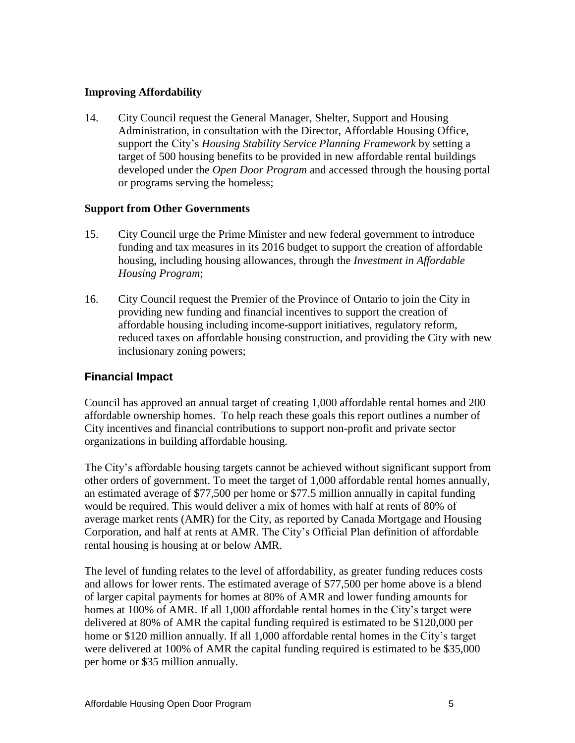#### **Improving Affordability**

14. City Council request the General Manager, Shelter, Support and Housing Administration, in consultation with the Director, Affordable Housing Office, support the City's *Housing Stability Service Planning Framework* by setting a target of 500 housing benefits to be provided in new affordable rental buildings developed under the *Open Door Program* and accessed through the housing portal or programs serving the homeless;

#### **Support from Other Governments**

- 15. City Council urge the Prime Minister and new federal government to introduce funding and tax measures in its 2016 budget to support the creation of affordable housing, including housing allowances, through the *Investment in Affordable Housing Program*;
- 16. City Council request the Premier of the Province of Ontario to join the City in providing new funding and financial incentives to support the creation of affordable housing including income-support initiatives, regulatory reform, reduced taxes on affordable housing construction, and providing the City with new inclusionary zoning powers;

#### **Financial Impact**

Council has approved an annual target of creating 1,000 affordable rental homes and 200 affordable ownership homes. To help reach these goals this report outlines a number of City incentives and financial contributions to support non-profit and private sector organizations in building affordable housing.

The City's affordable housing targets cannot be achieved without significant support from other orders of government. To meet the target of 1,000 affordable rental homes annually, an estimated average of \$77,500 per home or \$77.5 million annually in capital funding would be required. This would deliver a mix of homes with half at rents of 80% of average market rents (AMR) for the City, as reported by Canada Mortgage and Housing Corporation, and half at rents at AMR. The City's Official Plan definition of affordable rental housing is housing at or below AMR.

The level of funding relates to the level of affordability, as greater funding reduces costs and allows for lower rents. The estimated average of \$77,500 per home above is a blend of larger capital payments for homes at 80% of AMR and lower funding amounts for homes at 100% of AMR. If all 1,000 affordable rental homes in the City's target were delivered at 80% of AMR the capital funding required is estimated to be \$120,000 per home or \$120 million annually. If all 1,000 affordable rental homes in the City's target were delivered at 100% of AMR the capital funding required is estimated to be \$35,000 per home or \$35 million annually.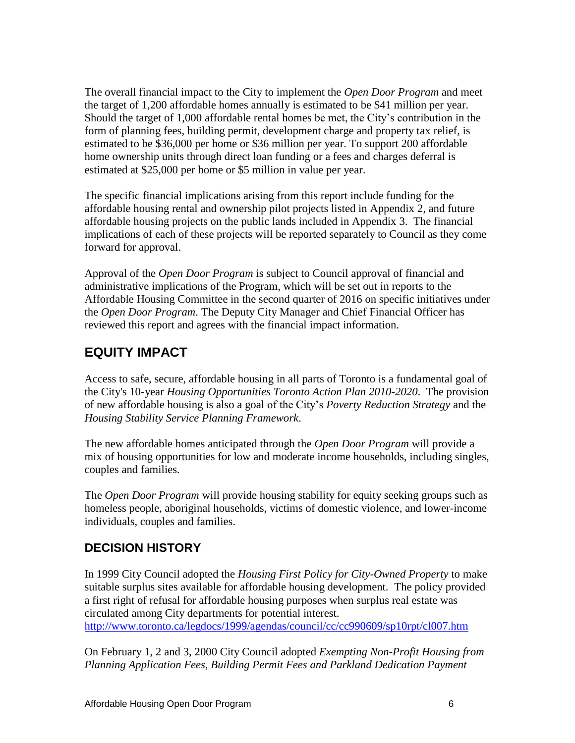The overall financial impact to the City to implement the *Open Door Program* and meet the target of 1,200 affordable homes annually is estimated to be \$41 million per year. Should the target of 1,000 affordable rental homes be met, the City's contribution in the form of planning fees, building permit, development charge and property tax relief, is estimated to be \$36,000 per home or \$36 million per year. To support 200 affordable home ownership units through direct loan funding or a fees and charges deferral is estimated at \$25,000 per home or \$5 million in value per year.

The specific financial implications arising from this report include funding for the affordable housing rental and ownership pilot projects listed in Appendix 2, and future affordable housing projects on the public lands included in Appendix 3. The financial implications of each of these projects will be reported separately to Council as they come forward for approval.

Approval of the *Open Door Program* is subject to Council approval of financial and administrative implications of the Program, which will be set out in reports to the Affordable Housing Committee in the second quarter of 2016 on specific initiatives under the *Open Door Program*. The Deputy City Manager and Chief Financial Officer has reviewed this report and agrees with the financial impact information.

# **EQUITY IMPACT**

Access to safe, secure, affordable housing in all parts of Toronto is a fundamental goal of the City's 10-year *Housing Opportunities Toronto Action Plan 2010-2020*. The provision of new affordable housing is also a goal of the City's *Poverty Reduction Strategy* and the *Housing Stability Service Planning Framework*.

The new affordable homes anticipated through the *Open Door Program* will provide a mix of housing opportunities for low and moderate income households, including singles, couples and families.

The *Open Door Program* will provide housing stability for equity seeking groups such as homeless people, aboriginal households, victims of domestic violence, and lower-income individuals, couples and families.

# **DECISION HISTORY**

In 1999 City Council adopted the *Housing First Policy for City-Owned Property* to make suitable surplus sites available for affordable housing development. The policy provided a first right of refusal for affordable housing purposes when surplus real estate was circulated among City departments for potential interest. <http://www.toronto.ca/legdocs/1999/agendas/council/cc/cc990609/sp10rpt/cl007.htm>

On February 1, 2 and 3, 2000 City Council adopted *Exempting Non-Profit Housing from Planning Application Fees, Building Permit Fees and Parkland Dedication Payment*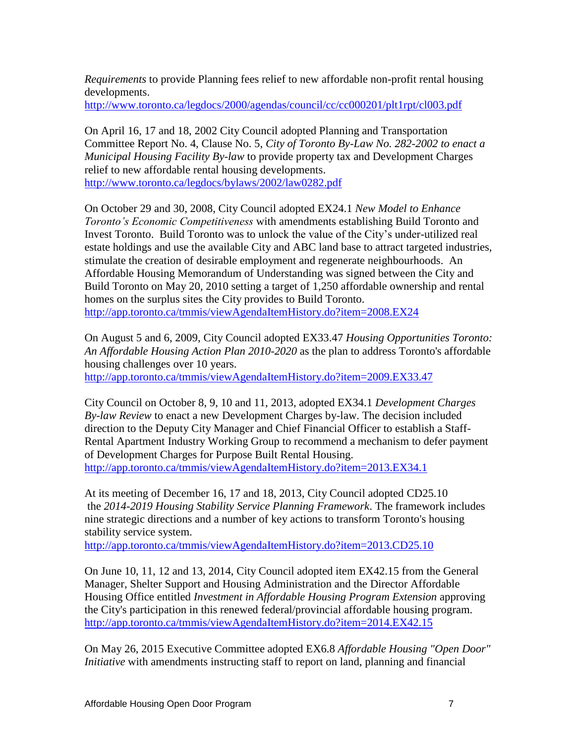*Requirements* to provide Planning fees relief to new affordable non-profit rental housing developments.

<http://www.toronto.ca/legdocs/2000/agendas/council/cc/cc000201/plt1rpt/cl003.pdf>

On April 16, 17 and 18, 2002 City Council adopted Planning and Transportation Committee Report No. 4, Clause No. 5, *City of Toronto By-Law No. 282-2002 to enact a Municipal Housing Facility By-law* to provide property tax and Development Charges relief to new affordable rental housing developments. <http://www.toronto.ca/legdocs/bylaws/2002/law0282.pdf>

On October 29 and 30, 2008, City Council adopted EX24.1 *New Model to Enhance Toronto's Economic Competitiveness* with amendments establishing Build Toronto and Invest Toronto. Build Toronto was to unlock the value of the City's under-utilized real estate holdings and use the available City and ABC land base to attract targeted industries, stimulate the creation of desirable employment and regenerate neighbourhoods. An Affordable Housing Memorandum of Understanding was signed between the City and Build Toronto on May 20, 2010 setting a target of 1,250 affordable ownership and rental homes on the surplus sites the City provides to Build Toronto. <http://app.toronto.ca/tmmis/viewAgendaItemHistory.do?item=2008.EX24>

On August 5 and 6, 2009, City Council adopted EX33.47 *Housing Opportunities Toronto: An Affordable Housing Action Plan 2010-2020* as the plan to address Toronto's affordable housing challenges over 10 years.

<http://app.toronto.ca/tmmis/viewAgendaItemHistory.do?item=2009.EX33.47>

City Council on October 8, 9, 10 and 11, 2013, adopted EX34.1 *Development Charges By-law Review* to enact a new Development Charges by-law. The decision included direction to the Deputy City Manager and Chief Financial Officer to establish a Staff-Rental Apartment Industry Working Group to recommend a mechanism to defer payment of Development Charges for Purpose Built Rental Housing. <http://app.toronto.ca/tmmis/viewAgendaItemHistory.do?item=2013.EX34.1>

At its meeting of December 16, 17 and 18, 2013, City Council adopted CD25.10 the *2014-2019 Housing Stability Service Planning Framework*. The framework includes nine strategic directions and a number of key actions to transform Toronto's housing stability service system.

<http://app.toronto.ca/tmmis/viewAgendaItemHistory.do?item=2013.CD25.10>

On June 10, 11, 12 and 13, 2014, City Council adopted item EX42.15 from the General Manager, Shelter Support and Housing Administration and the Director Affordable Housing Office entitled *Investment in Affordable Housing Program Extension* approving the City's participation in this renewed federal/provincial affordable housing program. <http://app.toronto.ca/tmmis/viewAgendaItemHistory.do?item=2014.EX42.15>

On May 26, 2015 Executive Committee adopted EX6.8 *Affordable Housing "Open Door" Initiative* with amendments instructing staff to report on land, planning and financial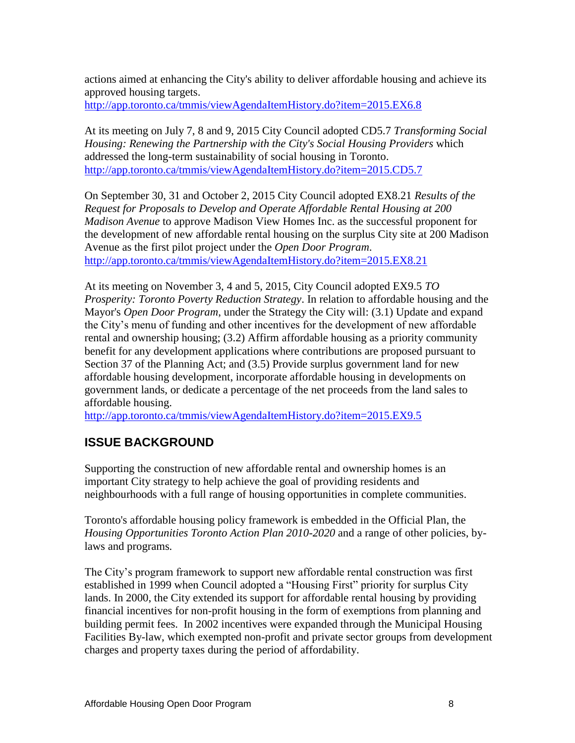actions aimed at enhancing the City's ability to deliver affordable housing and achieve its approved housing targets. <http://app.toronto.ca/tmmis/viewAgendaItemHistory.do?item=2015.EX6.8>

At its meeting on July 7, 8 and 9, 2015 City Council adopted CD5.7 *Transforming Social Housing: Renewing the Partnership with the City's Social Housing Providers* which addressed the long-term sustainability of social housing in Toronto. <http://app.toronto.ca/tmmis/viewAgendaItemHistory.do?item=2015.CD5.7>

On September 30, 31 and October 2, 2015 City Council adopted EX8.21 *Results of the Request for Proposals to Develop and Operate Affordable Rental Housing at 200 Madison Avenue* to approve Madison View Homes Inc. as the successful proponent for the development of new affordable rental housing on the surplus City site at 200 Madison Avenue as the first pilot project under the *Open Door Program*. <http://app.toronto.ca/tmmis/viewAgendaItemHistory.do?item=2015.EX8.21>

At its meeting on November 3, 4 and 5, 2015, City Council adopted EX9.5 *TO Prosperity: Toronto Poverty Reduction Strategy*. In relation to affordable housing and the Mayor's *Open Door Program*, under the Strategy the City will: (3.1) Update and expand the City's menu of funding and other incentives for the development of new affordable rental and ownership housing; (3.2) Affirm affordable housing as a priority community benefit for any development applications where contributions are proposed pursuant to Section 37 of the Planning Act; and (3.5) Provide surplus government land for new affordable housing development, incorporate affordable housing in developments on government lands, or dedicate a percentage of the net proceeds from the land sales to affordable housing.

<http://app.toronto.ca/tmmis/viewAgendaItemHistory.do?item=2015.EX9.5>

# **ISSUE BACKGROUND**

Supporting the construction of new affordable rental and ownership homes is an important City strategy to help achieve the goal of providing residents and neighbourhoods with a full range of housing opportunities in complete communities.

Toronto's affordable housing policy framework is embedded in the Official Plan, the *Housing Opportunities Toronto Action Plan 2010-2020* and a range of other policies, bylaws and programs*.*

The City's program framework to support new affordable rental construction was first established in 1999 when Council adopted a "Housing First" priority for surplus City lands. In 2000, the City extended its support for affordable rental housing by providing financial incentives for non-profit housing in the form of exemptions from planning and building permit fees. In 2002 incentives were expanded through the Municipal Housing Facilities By-law, which exempted non-profit and private sector groups from development charges and property taxes during the period of affordability.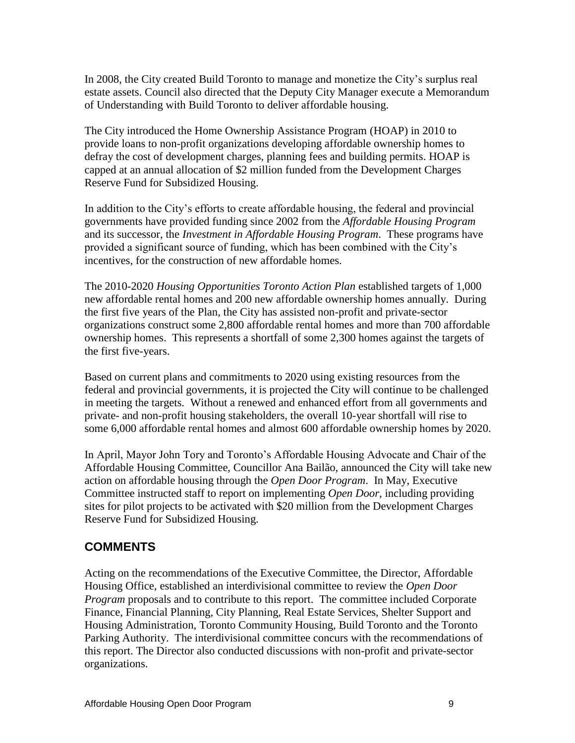In 2008, the City created Build Toronto to manage and monetize the City's surplus real estate assets. Council also directed that the Deputy City Manager execute a Memorandum of Understanding with Build Toronto to deliver affordable housing.

The City introduced the Home Ownership Assistance Program (HOAP) in 2010 to provide loans to non-profit organizations developing affordable ownership homes to defray the cost of development charges, planning fees and building permits. HOAP is capped at an annual allocation of \$2 million funded from the Development Charges Reserve Fund for Subsidized Housing.

In addition to the City's efforts to create affordable housing, the federal and provincial governments have provided funding since 2002 from the *Affordable Housing Program*  and its successor, the *Investment in Affordable Housing Program*. These programs have provided a significant source of funding, which has been combined with the City's incentives, for the construction of new affordable homes.

The 2010-2020 *Housing Opportunities Toronto Action Plan* established targets of 1,000 new affordable rental homes and 200 new affordable ownership homes annually. During the first five years of the Plan, the City has assisted non-profit and private-sector organizations construct some 2,800 affordable rental homes and more than 700 affordable ownership homes. This represents a shortfall of some 2,300 homes against the targets of the first five-years.

Based on current plans and commitments to 2020 using existing resources from the federal and provincial governments, it is projected the City will continue to be challenged in meeting the targets. Without a renewed and enhanced effort from all governments and private- and non-profit housing stakeholders, the overall 10-year shortfall will rise to some 6,000 affordable rental homes and almost 600 affordable ownership homes by 2020.

In April, Mayor John Tory and Toronto's Affordable Housing Advocate and Chair of the Affordable Housing Committee, Councillor Ana Bailão, announced the City will take new action on affordable housing through the *Open Door Program*. In May, Executive Committee instructed staff to report on implementing *Open Door,* including providing sites for pilot projects to be activated with \$20 million from the Development Charges Reserve Fund for Subsidized Housing.

# **COMMENTS**

Acting on the recommendations of the Executive Committee, the Director, Affordable Housing Office, established an interdivisional committee to review the *Open Door Program* proposals and to contribute to this report. The committee included Corporate Finance, Financial Planning, City Planning, Real Estate Services, Shelter Support and Housing Administration, Toronto Community Housing, Build Toronto and the Toronto Parking Authority. The interdivisional committee concurs with the recommendations of this report. The Director also conducted discussions with non-profit and private-sector organizations.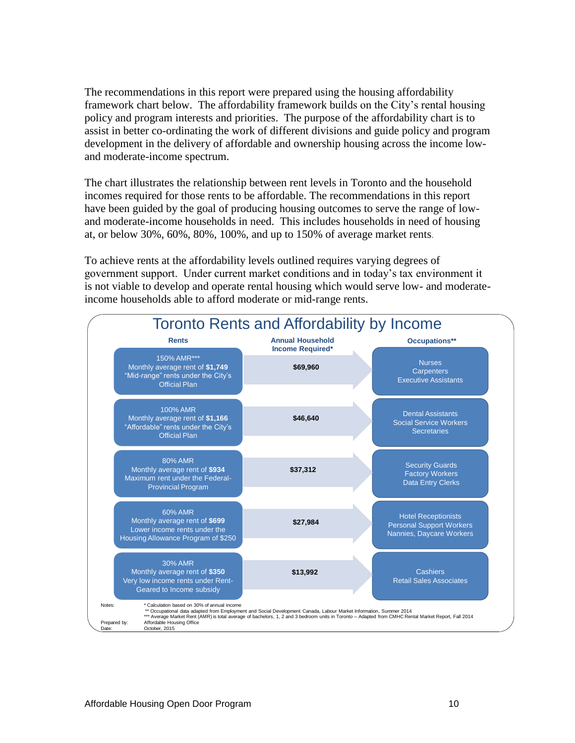The recommendations in this report were prepared using the housing affordability framework chart below. The affordability framework builds on the City's rental housing policy and program interests and priorities. The purpose of the affordability chart is to assist in better co-ordinating the work of different divisions and guide policy and program development in the delivery of affordable and ownership housing across the income lowand moderate-income spectrum.

The chart illustrates the relationship between rent levels in Toronto and the household incomes required for those rents to be affordable. The recommendations in this report have been guided by the goal of producing housing outcomes to serve the range of lowand moderate-income households in need. This includes households in need of housing at, or below 30%, 60%, 80%, 100%, and up to 150% of average market rents.

To achieve rents at the affordability levels outlined requires varying degrees of government support. Under current market conditions and in today's tax environment it is not viable to develop and operate rental housing which would serve low- and moderateincome households able to afford moderate or mid-range rents.

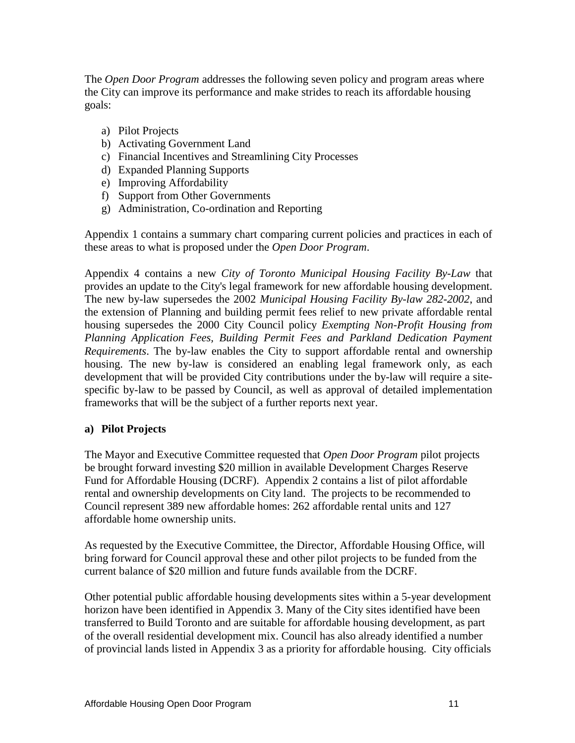The *Open Door Program* addresses the following seven policy and program areas where the City can improve its performance and make strides to reach its affordable housing goals:

- a) Pilot Projects
- b) Activating Government Land
- c) Financial Incentives and Streamlining City Processes
- d) Expanded Planning Supports
- e) Improving Affordability
- f) Support from Other Governments
- g) Administration, Co-ordination and Reporting

Appendix 1 contains a summary chart comparing current policies and practices in each of these areas to what is proposed under the *Open Door Program*.

Appendix 4 contains a new *City of Toronto Municipal Housing Facility By-Law* that provides an update to the City's legal framework for new affordable housing development. The new by-law supersedes the 2002 *Municipal Housing Facility By-law 282-2002*, and the extension of Planning and building permit fees relief to new private affordable rental housing supersedes the 2000 City Council policy *Exempting Non-Profit Housing from Planning Application Fees, Building Permit Fees and Parkland Dedication Payment Requirements*. The by-law enables the City to support affordable rental and ownership housing. The new by-law is considered an enabling legal framework only, as each development that will be provided City contributions under the by-law will require a sitespecific by-law to be passed by Council, as well as approval of detailed implementation frameworks that will be the subject of a further reports next year.

#### **a) Pilot Projects**

The Mayor and Executive Committee requested that *Open Door Program* pilot projects be brought forward investing \$20 million in available Development Charges Reserve Fund for Affordable Housing (DCRF). Appendix 2 contains a list of pilot affordable rental and ownership developments on City land. The projects to be recommended to Council represent 389 new affordable homes: 262 affordable rental units and 127 affordable home ownership units.

As requested by the Executive Committee, the Director, Affordable Housing Office, will bring forward for Council approval these and other pilot projects to be funded from the current balance of \$20 million and future funds available from the DCRF.

Other potential public affordable housing developments sites within a 5-year development horizon have been identified in Appendix 3. Many of the City sites identified have been transferred to Build Toronto and are suitable for affordable housing development, as part of the overall residential development mix. Council has also already identified a number of provincial lands listed in Appendix 3 as a priority for affordable housing. City officials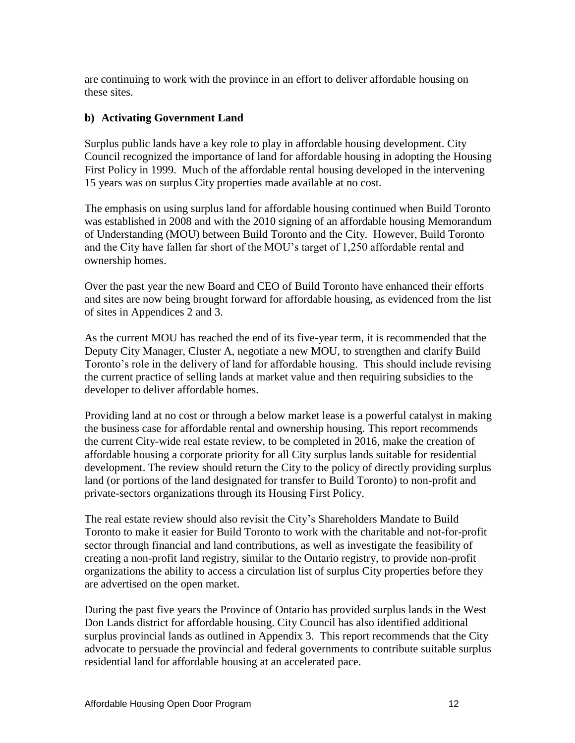are continuing to work with the province in an effort to deliver affordable housing on these sites.

#### **b) Activating Government Land**

Surplus public lands have a key role to play in affordable housing development. City Council recognized the importance of land for affordable housing in adopting the Housing First Policy in 1999. Much of the affordable rental housing developed in the intervening 15 years was on surplus City properties made available at no cost.

The emphasis on using surplus land for affordable housing continued when Build Toronto was established in 2008 and with the 2010 signing of an affordable housing Memorandum of Understanding (MOU) between Build Toronto and the City. However, Build Toronto and the City have fallen far short of the MOU's target of 1,250 affordable rental and ownership homes.

Over the past year the new Board and CEO of Build Toronto have enhanced their efforts and sites are now being brought forward for affordable housing, as evidenced from the list of sites in Appendices 2 and 3.

As the current MOU has reached the end of its five-year term, it is recommended that the Deputy City Manager, Cluster A, negotiate a new MOU, to strengthen and clarify Build Toronto's role in the delivery of land for affordable housing. This should include revising the current practice of selling lands at market value and then requiring subsidies to the developer to deliver affordable homes.

Providing land at no cost or through a below market lease is a powerful catalyst in making the business case for affordable rental and ownership housing. This report recommends the current City-wide real estate review, to be completed in 2016, make the creation of affordable housing a corporate priority for all City surplus lands suitable for residential development. The review should return the City to the policy of directly providing surplus land (or portions of the land designated for transfer to Build Toronto) to non-profit and private-sectors organizations through its Housing First Policy.

The real estate review should also revisit the City's Shareholders Mandate to Build Toronto to make it easier for Build Toronto to work with the charitable and not-for-profit sector through financial and land contributions, as well as investigate the feasibility of creating a non-profit land registry, similar to the Ontario registry, to provide non-profit organizations the ability to access a circulation list of surplus City properties before they are advertised on the open market.

During the past five years the Province of Ontario has provided surplus lands in the West Don Lands district for affordable housing. City Council has also identified additional surplus provincial lands as outlined in Appendix 3. This report recommends that the City advocate to persuade the provincial and federal governments to contribute suitable surplus residential land for affordable housing at an accelerated pace.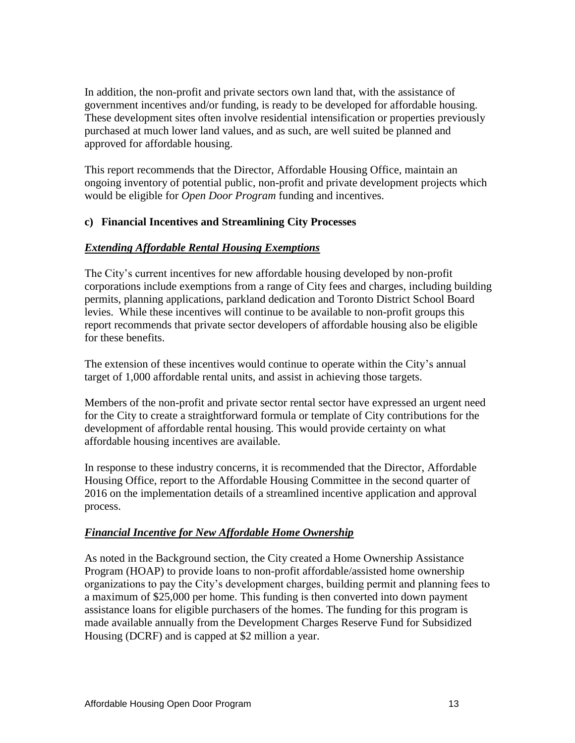In addition, the non-profit and private sectors own land that, with the assistance of government incentives and/or funding, is ready to be developed for affordable housing. These development sites often involve residential intensification or properties previously purchased at much lower land values, and as such, are well suited be planned and approved for affordable housing.

This report recommends that the Director, Affordable Housing Office, maintain an ongoing inventory of potential public, non-profit and private development projects which would be eligible for *Open Door Program* funding and incentives.

#### **c) Financial Incentives and Streamlining City Processes**

#### *Extending Affordable Rental Housing Exemptions*

The City's current incentives for new affordable housing developed by non-profit corporations include exemptions from a range of City fees and charges, including building permits, planning applications, parkland dedication and Toronto District School Board levies. While these incentives will continue to be available to non-profit groups this report recommends that private sector developers of affordable housing also be eligible for these benefits.

The extension of these incentives would continue to operate within the City's annual target of 1,000 affordable rental units, and assist in achieving those targets.

Members of the non-profit and private sector rental sector have expressed an urgent need for the City to create a straightforward formula or template of City contributions for the development of affordable rental housing. This would provide certainty on what affordable housing incentives are available.

In response to these industry concerns, it is recommended that the Director, Affordable Housing Office, report to the Affordable Housing Committee in the second quarter of 2016 on the implementation details of a streamlined incentive application and approval process.

# *Financial Incentive for New Affordable Home Ownership*

As noted in the Background section, the City created a Home Ownership Assistance Program (HOAP) to provide loans to non-profit affordable/assisted home ownership organizations to pay the City's development charges, building permit and planning fees to a maximum of \$25,000 per home. This funding is then converted into down payment assistance loans for eligible purchasers of the homes. The funding for this program is made available annually from the Development Charges Reserve Fund for Subsidized Housing (DCRF) and is capped at \$2 million a year.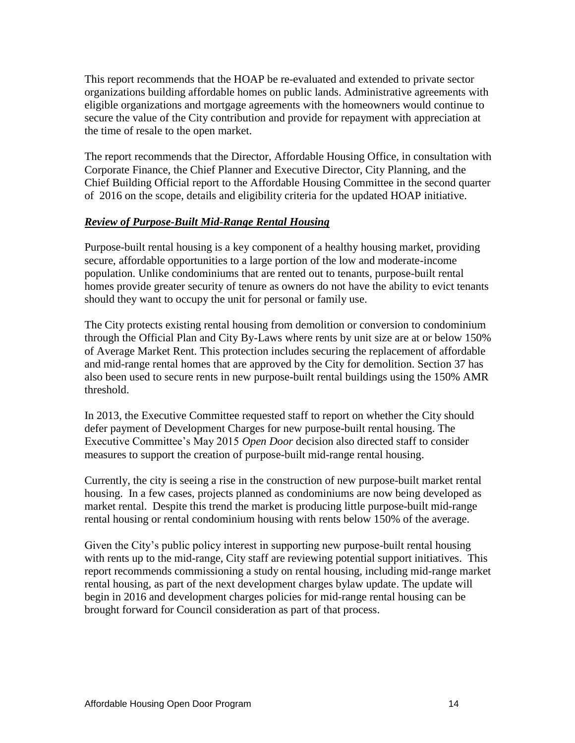This report recommends that the HOAP be re-evaluated and extended to private sector organizations building affordable homes on public lands. Administrative agreements with eligible organizations and mortgage agreements with the homeowners would continue to secure the value of the City contribution and provide for repayment with appreciation at the time of resale to the open market.

The report recommends that the Director, Affordable Housing Office, in consultation with Corporate Finance, the Chief Planner and Executive Director, City Planning, and the Chief Building Official report to the Affordable Housing Committee in the second quarter of 2016 on the scope, details and eligibility criteria for the updated HOAP initiative.

#### *Review of Purpose-Built Mid-Range Rental Housing*

Purpose-built rental housing is a key component of a healthy housing market, providing secure, affordable opportunities to a large portion of the low and moderate-income population. Unlike condominiums that are rented out to tenants, purpose-built rental homes provide greater security of tenure as owners do not have the ability to evict tenants should they want to occupy the unit for personal or family use.

The City protects existing rental housing from demolition or conversion to condominium through the Official Plan and City By-Laws where rents by unit size are at or below 150% of Average Market Rent. This protection includes securing the replacement of affordable and mid-range rental homes that are approved by the City for demolition. Section 37 has also been used to secure rents in new purpose-built rental buildings using the 150% AMR threshold.

In 2013, the Executive Committee requested staff to report on whether the City should defer payment of Development Charges for new purpose-built rental housing. The Executive Committee's May 2015 *Open Door* decision also directed staff to consider measures to support the creation of purpose-built mid-range rental housing.

Currently, the city is seeing a rise in the construction of new purpose-built market rental housing. In a few cases, projects planned as condominiums are now being developed as market rental. Despite this trend the market is producing little purpose-built mid-range rental housing or rental condominium housing with rents below 150% of the average.

Given the City's public policy interest in supporting new purpose-built rental housing with rents up to the mid-range, City staff are reviewing potential support initiatives. This report recommends commissioning a study on rental housing, including mid-range market rental housing, as part of the next development charges bylaw update. The update will begin in 2016 and development charges policies for mid-range rental housing can be brought forward for Council consideration as part of that process.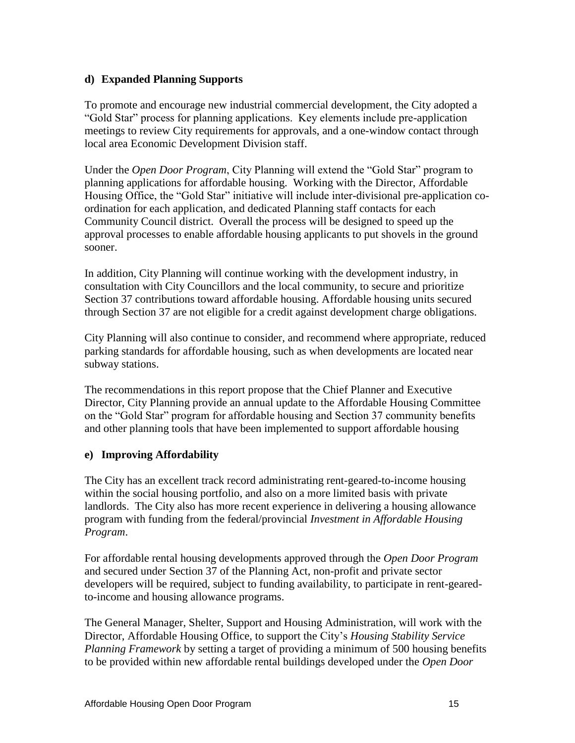#### **d) Expanded Planning Supports**

To promote and encourage new industrial commercial development, the City adopted a "Gold Star" process for planning applications. Key elements include pre-application meetings to review City requirements for approvals, and a one-window contact through local area Economic Development Division staff.

Under the *Open Door Program*, City Planning will extend the "Gold Star" program to planning applications for affordable housing. Working with the Director, Affordable Housing Office, the "Gold Star" initiative will include inter-divisional pre-application coordination for each application, and dedicated Planning staff contacts for each Community Council district. Overall the process will be designed to speed up the approval processes to enable affordable housing applicants to put shovels in the ground sooner.

In addition, City Planning will continue working with the development industry, in consultation with City Councillors and the local community, to secure and prioritize Section 37 contributions toward affordable housing. Affordable housing units secured through Section 37 are not eligible for a credit against development charge obligations.

City Planning will also continue to consider, and recommend where appropriate, reduced parking standards for affordable housing, such as when developments are located near subway stations.

The recommendations in this report propose that the Chief Planner and Executive Director, City Planning provide an annual update to the Affordable Housing Committee on the "Gold Star" program for affordable housing and Section 37 community benefits and other planning tools that have been implemented to support affordable housing

#### **e) Improving Affordability**

The City has an excellent track record administrating rent-geared-to-income housing within the social housing portfolio, and also on a more limited basis with private landlords. The City also has more recent experience in delivering a housing allowance program with funding from the federal/provincial *Investment in Affordable Housing Program*.

For affordable rental housing developments approved through the *Open Door Program*  and secured under Section 37 of the Planning Act, non-profit and private sector developers will be required, subject to funding availability, to participate in rent-gearedto-income and housing allowance programs.

The General Manager, Shelter, Support and Housing Administration, will work with the Director, Affordable Housing Office, to support the City's *Housing Stability Service Planning Framework* by setting a target of providing a minimum of 500 housing benefits to be provided within new affordable rental buildings developed under the *Open Door*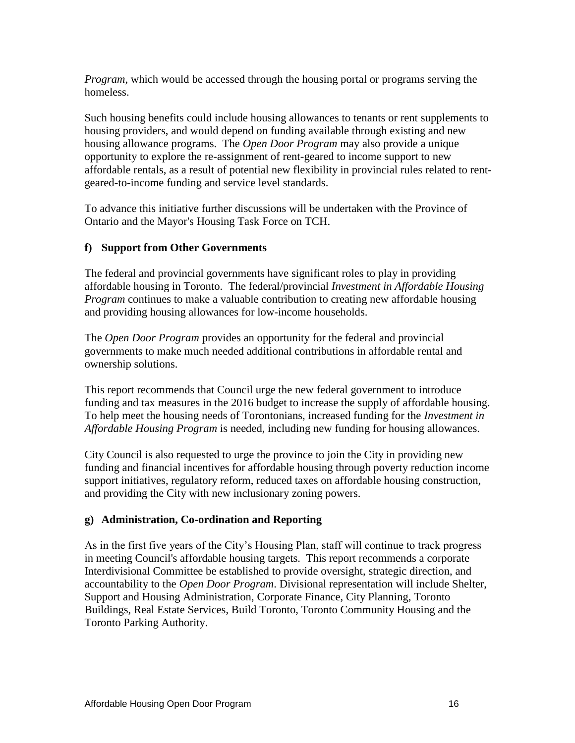*Program*, which would be accessed through the housing portal or programs serving the homeless.

Such housing benefits could include housing allowances to tenants or rent supplements to housing providers, and would depend on funding available through existing and new housing allowance programs. The *Open Door Program* may also provide a unique opportunity to explore the re-assignment of rent-geared to income support to new affordable rentals, as a result of potential new flexibility in provincial rules related to rentgeared-to-income funding and service level standards.

To advance this initiative further discussions will be undertaken with the Province of Ontario and the Mayor's Housing Task Force on TCH.

#### **f) Support from Other Governments**

The federal and provincial governments have significant roles to play in providing affordable housing in Toronto. The federal/provincial *Investment in Affordable Housing Program* continues to make a valuable contribution to creating new affordable housing and providing housing allowances for low-income households.

The *Open Door Program* provides an opportunity for the federal and provincial governments to make much needed additional contributions in affordable rental and ownership solutions.

This report recommends that Council urge the new federal government to introduce funding and tax measures in the 2016 budget to increase the supply of affordable housing. To help meet the housing needs of Torontonians, increased funding for the *Investment in Affordable Housing Program* is needed, including new funding for housing allowances.

City Council is also requested to urge the province to join the City in providing new funding and financial incentives for affordable housing through poverty reduction income support initiatives, regulatory reform, reduced taxes on affordable housing construction, and providing the City with new inclusionary zoning powers.

#### **g) Administration, Co-ordination and Reporting**

As in the first five years of the City's Housing Plan, staff will continue to track progress in meeting Council's affordable housing targets. This report recommends a corporate Interdivisional Committee be established to provide oversight, strategic direction, and accountability to the *Open Door Program*. Divisional representation will include Shelter, Support and Housing Administration, Corporate Finance, City Planning, Toronto Buildings, Real Estate Services, Build Toronto, Toronto Community Housing and the Toronto Parking Authority.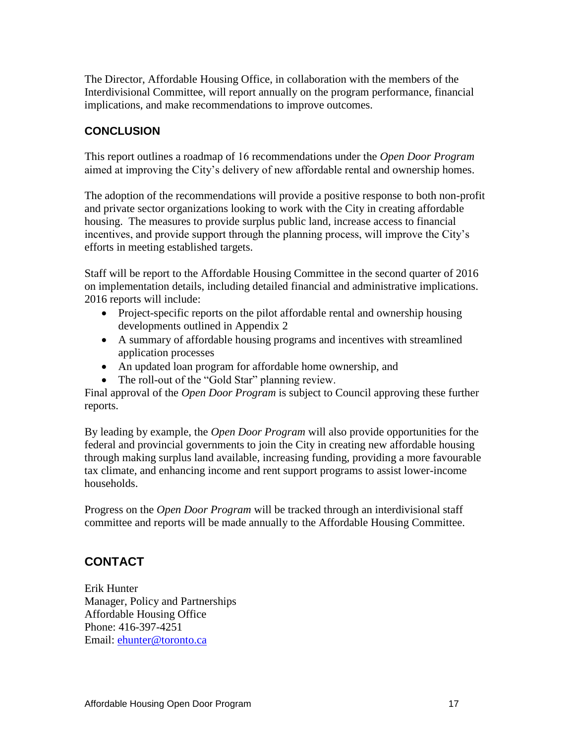The Director, Affordable Housing Office, in collaboration with the members of the Interdivisional Committee, will report annually on the program performance, financial implications, and make recommendations to improve outcomes.

# **CONCLUSION**

This report outlines a roadmap of 16 recommendations under the *Open Door Program*  aimed at improving the City's delivery of new affordable rental and ownership homes.

The adoption of the recommendations will provide a positive response to both non-profit and private sector organizations looking to work with the City in creating affordable housing. The measures to provide surplus public land, increase access to financial incentives, and provide support through the planning process, will improve the City's efforts in meeting established targets.

Staff will be report to the Affordable Housing Committee in the second quarter of 2016 on implementation details, including detailed financial and administrative implications. 2016 reports will include:

- Project-specific reports on the pilot affordable rental and ownership housing developments outlined in Appendix 2
- A summary of affordable housing programs and incentives with streamlined application processes
- An updated loan program for affordable home ownership, and
- The roll-out of the "Gold Star" planning review.

Final approval of the *Open Door Program* is subject to Council approving these further reports.

By leading by example, the *Open Door Program* will also provide opportunities for the federal and provincial governments to join the City in creating new affordable housing through making surplus land available, increasing funding, providing a more favourable tax climate, and enhancing income and rent support programs to assist lower-income households.

Progress on the *Open Door Program* will be tracked through an interdivisional staff committee and reports will be made annually to the Affordable Housing Committee.

# **CONTACT**

Erik Hunter Manager, Policy and Partnerships Affordable Housing Office Phone: 416-397-4251 Email: [ehunter@toronto.ca](mailto:ehunter@toronto.ca)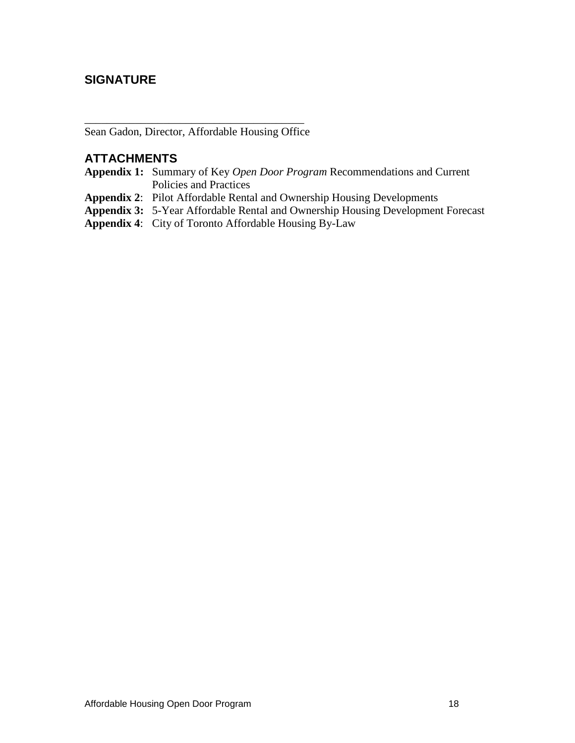# **SIGNATURE**

\_\_\_\_\_\_\_\_\_\_\_\_\_\_\_\_\_\_\_\_\_\_\_\_\_\_\_\_\_\_\_\_\_\_\_\_\_\_\_ Sean Gadon, Director, Affordable Housing Office

### **ATTACHMENTS**

- **Appendix 1:** Summary of Key *Open Door Program* Recommendations and Current Policies and Practices
- **Appendix 2**: Pilot Affordable Rental and Ownership Housing Developments
- **Appendix 3:** 5-Year Affordable Rental and Ownership Housing Development Forecast
- **Appendix 4**: City of Toronto Affordable Housing By-Law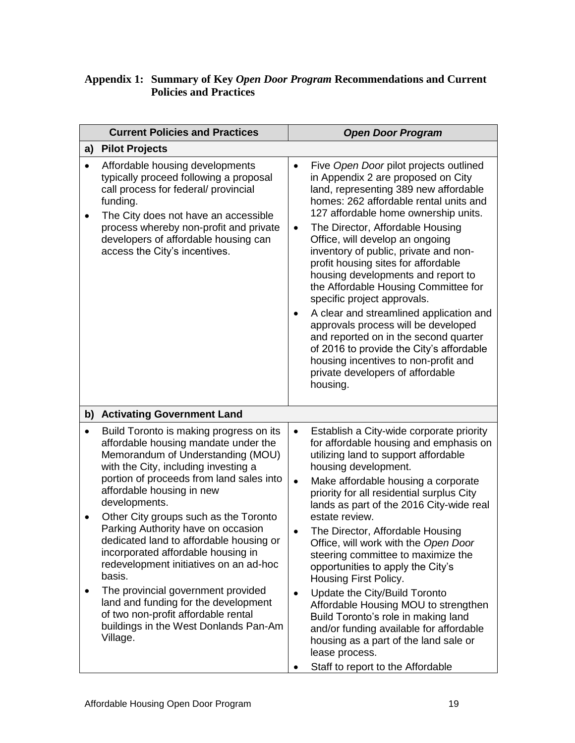#### **Appendix 1: Summary of Key** *Open Door Program* **Recommendations and Current Policies and Practices**

|                | <b>Current Policies and Practices</b>                                                                                                                                                                                                                                                                                                                                                                                                                                                                                                                                                                                                                |                                          | <b>Open Door Program</b>                                                                                                                                                                                                                                                                                                                                                                                                                                                                                                                                                                                                                                                                                                                        |  |  |
|----------------|------------------------------------------------------------------------------------------------------------------------------------------------------------------------------------------------------------------------------------------------------------------------------------------------------------------------------------------------------------------------------------------------------------------------------------------------------------------------------------------------------------------------------------------------------------------------------------------------------------------------------------------------------|------------------------------------------|-------------------------------------------------------------------------------------------------------------------------------------------------------------------------------------------------------------------------------------------------------------------------------------------------------------------------------------------------------------------------------------------------------------------------------------------------------------------------------------------------------------------------------------------------------------------------------------------------------------------------------------------------------------------------------------------------------------------------------------------------|--|--|
| a)             | <b>Pilot Projects</b>                                                                                                                                                                                                                                                                                                                                                                                                                                                                                                                                                                                                                                |                                          |                                                                                                                                                                                                                                                                                                                                                                                                                                                                                                                                                                                                                                                                                                                                                 |  |  |
| $\bullet$<br>٠ | Affordable housing developments<br>typically proceed following a proposal<br>call process for federal/ provincial<br>funding.<br>The City does not have an accessible<br>process whereby non-profit and private<br>developers of affordable housing can<br>access the City's incentives.                                                                                                                                                                                                                                                                                                                                                             | $\bullet$<br>$\bullet$                   | Five Open Door pilot projects outlined<br>in Appendix 2 are proposed on City<br>land, representing 389 new affordable<br>homes: 262 affordable rental units and<br>127 affordable home ownership units.<br>The Director, Affordable Housing<br>Office, will develop an ongoing<br>inventory of public, private and non-<br>profit housing sites for affordable<br>housing developments and report to<br>the Affordable Housing Committee for<br>specific project approvals.<br>A clear and streamlined application and<br>approvals process will be developed<br>and reported on in the second quarter<br>of 2016 to provide the City's affordable<br>housing incentives to non-profit and<br>private developers of affordable<br>housing.      |  |  |
| b)             | <b>Activating Government Land</b>                                                                                                                                                                                                                                                                                                                                                                                                                                                                                                                                                                                                                    |                                          |                                                                                                                                                                                                                                                                                                                                                                                                                                                                                                                                                                                                                                                                                                                                                 |  |  |
|                | Build Toronto is making progress on its<br>affordable housing mandate under the<br>Memorandum of Understanding (MOU)<br>with the City, including investing a<br>portion of proceeds from land sales into<br>affordable housing in new<br>developments.<br>Other City groups such as the Toronto<br>Parking Authority have on occasion<br>dedicated land to affordable housing or<br>incorporated affordable housing in<br>redevelopment initiatives on an ad-hoc<br>basis.<br>The provincial government provided<br>land and funding for the development<br>of two non-profit affordable rental<br>buildings in the West Donlands Pan-Am<br>Village. | ٠<br>$\bullet$<br>$\bullet$<br>$\bullet$ | Establish a City-wide corporate priority<br>for affordable housing and emphasis on<br>utilizing land to support affordable<br>housing development.<br>Make affordable housing a corporate<br>priority for all residential surplus City<br>lands as part of the 2016 City-wide real<br>estate review.<br>The Director, Affordable Housing<br>Office, will work with the Open Door<br>steering committee to maximize the<br>opportunities to apply the City's<br>Housing First Policy.<br>Update the City/Build Toronto<br>Affordable Housing MOU to strengthen<br>Build Toronto's role in making land<br>and/or funding available for affordable<br>housing as a part of the land sale or<br>lease process.<br>Staff to report to the Affordable |  |  |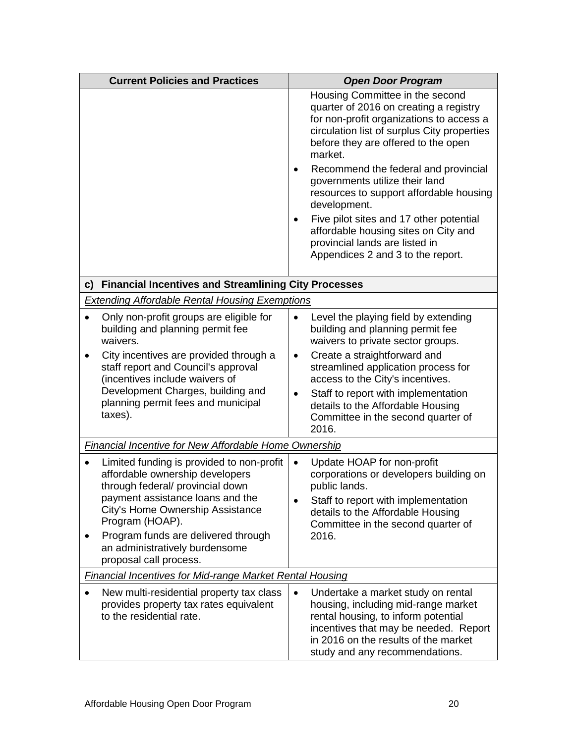| <b>Current Policies and Practices</b> |                                                                                                                  |           | <b>Open Door Program</b>                                                                                                                                                                                                            |  |  |
|---------------------------------------|------------------------------------------------------------------------------------------------------------------|-----------|-------------------------------------------------------------------------------------------------------------------------------------------------------------------------------------------------------------------------------------|--|--|
|                                       |                                                                                                                  |           | Housing Committee in the second<br>quarter of 2016 on creating a registry<br>for non-profit organizations to access a<br>circulation list of surplus City properties<br>before they are offered to the open<br>market.              |  |  |
|                                       |                                                                                                                  | ٠         | Recommend the federal and provincial<br>governments utilize their land<br>resources to support affordable housing<br>development.                                                                                                   |  |  |
|                                       |                                                                                                                  |           | Five pilot sites and 17 other potential<br>affordable housing sites on City and<br>provincial lands are listed in<br>Appendices 2 and 3 to the report.                                                                              |  |  |
|                                       | c) Financial Incentives and Streamlining City Processes                                                          |           |                                                                                                                                                                                                                                     |  |  |
|                                       | <b>Extending Affordable Rental Housing Exemptions</b>                                                            |           |                                                                                                                                                                                                                                     |  |  |
| waivers.                              | Only non-profit groups are eligible for<br>building and planning permit fee                                      | $\bullet$ | Level the playing field by extending<br>building and planning permit fee<br>waivers to private sector groups.                                                                                                                       |  |  |
|                                       | City incentives are provided through a<br>staff report and Council's approval<br>(incentives include waivers of  | $\bullet$ | Create a straightforward and<br>streamlined application process for<br>access to the City's incentives.                                                                                                                             |  |  |
| taxes).                               | Development Charges, building and<br>planning permit fees and municipal                                          |           | Staff to report with implementation<br>details to the Affordable Housing<br>Committee in the second quarter of<br>2016.                                                                                                             |  |  |
|                                       | Financial Incentive for New Affordable Home Ownership                                                            |           |                                                                                                                                                                                                                                     |  |  |
|                                       | Limited funding is provided to non-profit<br>affordable ownership developers<br>through federal/ provincial down |           | Update HOAP for non-profit<br>corporations or developers building on<br>public lands.                                                                                                                                               |  |  |
|                                       | payment assistance loans and the<br>City's Home Ownership Assistance<br>Program (HOAP).                          |           | Staff to report with implementation<br>details to the Affordable Housing<br>Committee in the second quarter of                                                                                                                      |  |  |
|                                       | Program funds are delivered through<br>an administratively burdensome<br>proposal call process.                  |           | 2016.                                                                                                                                                                                                                               |  |  |
|                                       | <b>Financial Incentives for Mid-range Market Rental Housing</b>                                                  |           |                                                                                                                                                                                                                                     |  |  |
|                                       | New multi-residential property tax class<br>provides property tax rates equivalent<br>to the residential rate.   | $\bullet$ | Undertake a market study on rental<br>housing, including mid-range market<br>rental housing, to inform potential<br>incentives that may be needed. Report<br>in 2016 on the results of the market<br>study and any recommendations. |  |  |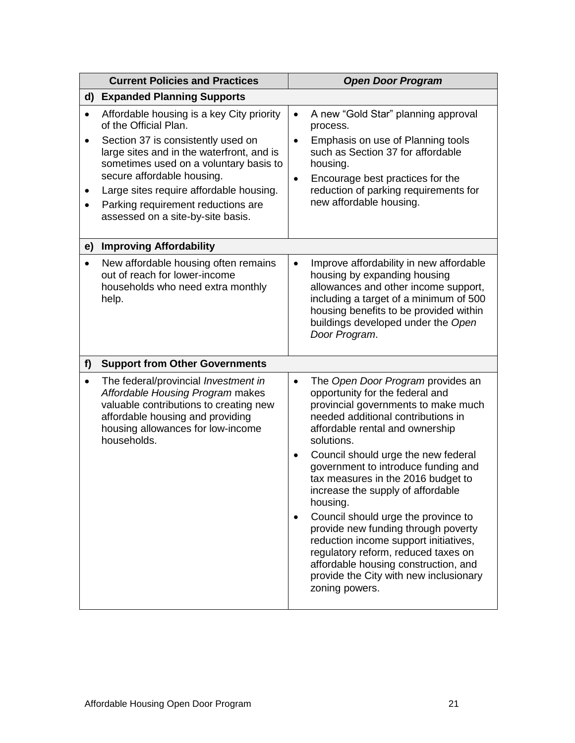| <b>Current Policies and Practices</b>    |                                                                                                                                                                                                                                                                                                                                                     | <b>Open Door Program</b>                                                                                                                                                                                                                                                                                                                                                                                                                                                                                                                                                                                                                                                         |  |  |
|------------------------------------------|-----------------------------------------------------------------------------------------------------------------------------------------------------------------------------------------------------------------------------------------------------------------------------------------------------------------------------------------------------|----------------------------------------------------------------------------------------------------------------------------------------------------------------------------------------------------------------------------------------------------------------------------------------------------------------------------------------------------------------------------------------------------------------------------------------------------------------------------------------------------------------------------------------------------------------------------------------------------------------------------------------------------------------------------------|--|--|
| d)                                       | <b>Expanded Planning Supports</b>                                                                                                                                                                                                                                                                                                                   |                                                                                                                                                                                                                                                                                                                                                                                                                                                                                                                                                                                                                                                                                  |  |  |
| $\bullet$<br>$\bullet$<br>٠<br>$\bullet$ | Affordable housing is a key City priority<br>of the Official Plan.<br>Section 37 is consistently used on<br>large sites and in the waterfront, and is<br>sometimes used on a voluntary basis to<br>secure affordable housing.<br>Large sites require affordable housing.<br>Parking requirement reductions are<br>assessed on a site-by-site basis. | A new "Gold Star" planning approval<br>$\bullet$<br>process.<br>Emphasis on use of Planning tools<br>$\bullet$<br>such as Section 37 for affordable<br>housing.<br>Encourage best practices for the<br>$\bullet$<br>reduction of parking requirements for<br>new affordable housing.                                                                                                                                                                                                                                                                                                                                                                                             |  |  |
| e)                                       | <b>Improving Affordability</b>                                                                                                                                                                                                                                                                                                                      |                                                                                                                                                                                                                                                                                                                                                                                                                                                                                                                                                                                                                                                                                  |  |  |
| $\bullet$<br>help.                       | New affordable housing often remains<br>out of reach for lower-income<br>households who need extra monthly                                                                                                                                                                                                                                          | Improve affordability in new affordable<br>$\bullet$<br>housing by expanding housing<br>allowances and other income support,<br>including a target of a minimum of 500<br>housing benefits to be provided within<br>buildings developed under the Open<br>Door Program.                                                                                                                                                                                                                                                                                                                                                                                                          |  |  |
| f                                        | <b>Support from Other Governments</b>                                                                                                                                                                                                                                                                                                               |                                                                                                                                                                                                                                                                                                                                                                                                                                                                                                                                                                                                                                                                                  |  |  |
| $\bullet$                                | The federal/provincial Investment in<br>Affordable Housing Program makes<br>valuable contributions to creating new<br>affordable housing and providing<br>housing allowances for low-income<br>households.                                                                                                                                          | The Open Door Program provides an<br>$\bullet$<br>opportunity for the federal and<br>provincial governments to make much<br>needed additional contributions in<br>affordable rental and ownership<br>solutions.<br>Council should urge the new federal<br>$\bullet$<br>government to introduce funding and<br>tax measures in the 2016 budget to<br>increase the supply of affordable<br>housing.<br>Council should urge the province to<br>$\bullet$<br>provide new funding through poverty<br>reduction income support initiatives,<br>regulatory reform, reduced taxes on<br>affordable housing construction, and<br>provide the City with new inclusionary<br>zoning powers. |  |  |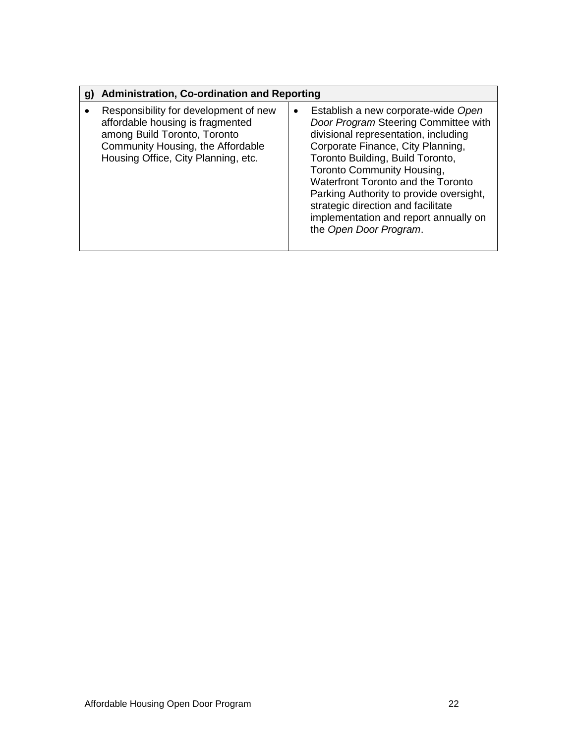| <b>Administration, Co-ordination and Reporting</b><br>$\mathbf{g}$                                                                                                                    |                                                                                                                                                                                                                                                                                                                                                                                                                                          |
|---------------------------------------------------------------------------------------------------------------------------------------------------------------------------------------|------------------------------------------------------------------------------------------------------------------------------------------------------------------------------------------------------------------------------------------------------------------------------------------------------------------------------------------------------------------------------------------------------------------------------------------|
| Responsibility for development of new<br>affordable housing is fragmented<br>among Build Toronto, Toronto<br>Community Housing, the Affordable<br>Housing Office, City Planning, etc. | Establish a new corporate-wide Open<br>$\bullet$<br>Door Program Steering Committee with<br>divisional representation, including<br>Corporate Finance, City Planning,<br>Toronto Building, Build Toronto,<br><b>Toronto Community Housing,</b><br>Waterfront Toronto and the Toronto<br>Parking Authority to provide oversight,<br>strategic direction and facilitate<br>implementation and report annually on<br>the Open Door Program. |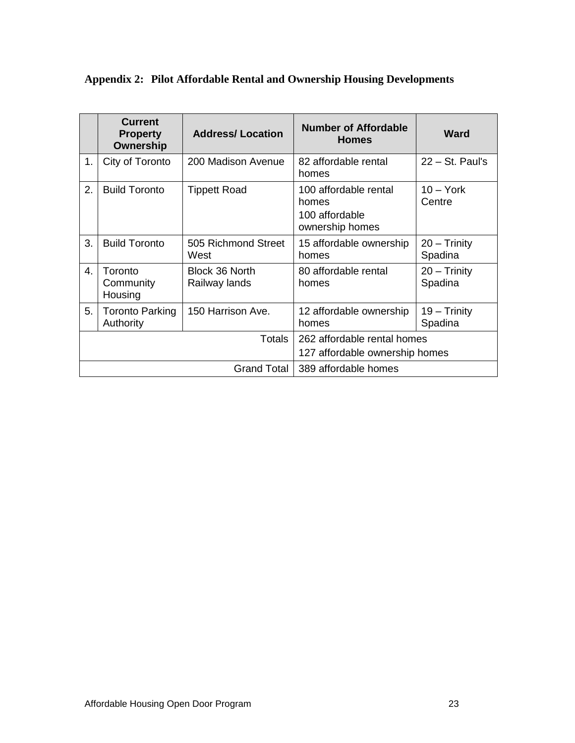|                | <b>Current</b><br><b>Property</b><br>Ownership | <b>Address/Location</b>                                       | <b>Number of Affordable</b><br><b>Homes</b>                         | <b>Ward</b>                  |
|----------------|------------------------------------------------|---------------------------------------------------------------|---------------------------------------------------------------------|------------------------------|
| 1.             | City of Toronto                                | 200 Madison Avenue                                            | 82 affordable rental<br>homes                                       | $22 - St.$ Paul's            |
| 2.             | <b>Build Toronto</b>                           | <b>Tippett Road</b>                                           | 100 affordable rental<br>homes<br>100 affordable<br>ownership homes | $10 - \text{York}$<br>Centre |
| 3.             | <b>Build Toronto</b>                           | 505 Richmond Street<br>West                                   | 15 affordable ownership<br>homes                                    | $20 - Trinity$<br>Spadina    |
| $\mathbf{4}$ . | Toronto<br>Community<br>Housing                | Block 36 North<br>Railway lands                               | 80 affordable rental<br>homes                                       | $20 -$ Trinity<br>Spadina    |
| 5.             | <b>Toronto Parking</b><br>Authority            | 150 Harrison Ave.                                             | 12 affordable ownership<br>homes                                    | $19 -$ Trinity<br>Spadina    |
| Totals         |                                                | 262 affordable rental homes<br>127 affordable ownership homes |                                                                     |                              |
| Grand Total    |                                                | 389 affordable homes                                          |                                                                     |                              |

# **Appendix 2: Pilot Affordable Rental and Ownership Housing Developments**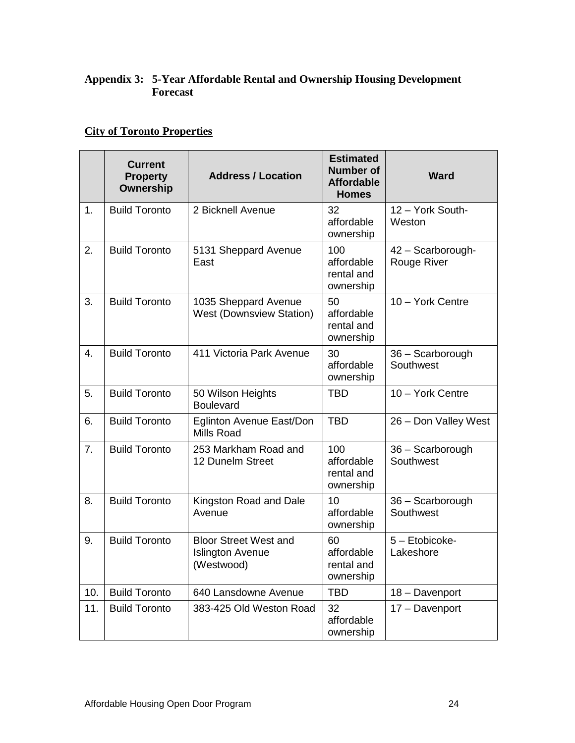# **Appendix 3: 5-Year Affordable Rental and Ownership Housing Development Forecast**

# **City of Toronto Properties**

|                  | <b>Current</b><br><b>Property</b><br>Ownership | <b>Address / Location</b>                                             | <b>Estimated</b><br><b>Number of</b><br><b>Affordable</b><br><b>Homes</b> | <b>Ward</b>                      |
|------------------|------------------------------------------------|-----------------------------------------------------------------------|---------------------------------------------------------------------------|----------------------------------|
| 1.               | <b>Build Toronto</b>                           | 2 Bicknell Avenue                                                     | 32<br>affordable<br>ownership                                             | 12 - York South-<br>Weston       |
| 2.               | <b>Build Toronto</b>                           | 5131 Sheppard Avenue<br>East                                          | 100<br>affordable<br>rental and<br>ownership                              | 42 - Scarborough-<br>Rouge River |
| 3.               | <b>Build Toronto</b>                           | 1035 Sheppard Avenue<br><b>West (Downsview Station)</b>               | 50<br>affordable<br>rental and<br>ownership                               | 10 - York Centre                 |
| $\overline{4}$ . | <b>Build Toronto</b>                           | 411 Victoria Park Avenue                                              | 30<br>affordable<br>ownership                                             | 36 - Scarborough<br>Southwest    |
| 5.               | <b>Build Toronto</b>                           | 50 Wilson Heights<br><b>Boulevard</b>                                 | <b>TBD</b>                                                                | 10 - York Centre                 |
| 6.               | <b>Build Toronto</b>                           | Eglinton Avenue East/Don<br><b>Mills Road</b>                         | <b>TBD</b>                                                                | 26 - Don Valley West             |
| 7.               | <b>Build Toronto</b>                           | 253 Markham Road and<br>12 Dunelm Street                              | 100<br>affordable<br>rental and<br>ownership                              | 36 - Scarborough<br>Southwest    |
| 8.               | <b>Build Toronto</b>                           | Kingston Road and Dale<br>Avenue                                      | 10<br>affordable<br>ownership                                             | 36 - Scarborough<br>Southwest    |
| 9.               | <b>Build Toronto</b>                           | <b>Bloor Street West and</b><br><b>Islington Avenue</b><br>(Westwood) | 60<br>affordable<br>rental and<br>ownership                               | 5 - Etobicoke-<br>Lakeshore      |
| 10.              | <b>Build Toronto</b>                           | 640 Lansdowne Avenue                                                  | <b>TBD</b>                                                                | 18 - Davenport                   |
| 11.              | <b>Build Toronto</b>                           | 383-425 Old Weston Road                                               | 32<br>affordable<br>ownership                                             | 17 - Davenport                   |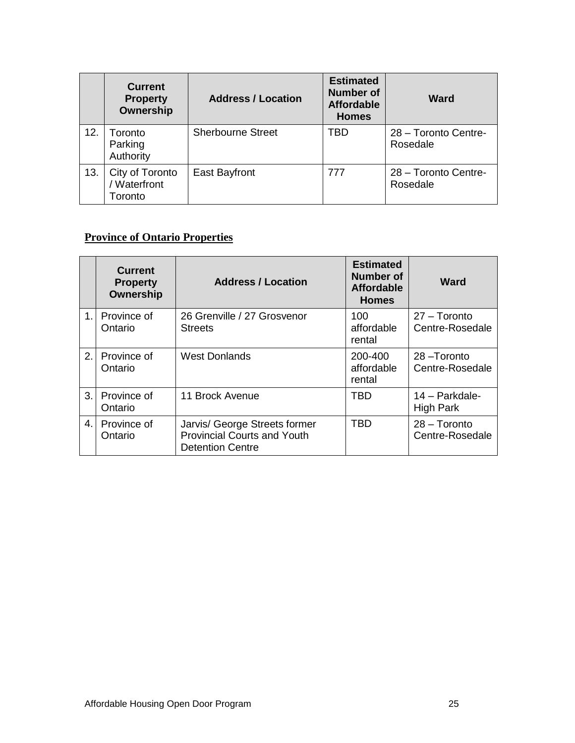|     | <b>Current</b><br><b>Property</b><br>Ownership | <b>Address / Location</b> | <b>Estimated</b><br><b>Number of</b><br><b>Affordable</b><br><b>Homes</b> | Ward                             |
|-----|------------------------------------------------|---------------------------|---------------------------------------------------------------------------|----------------------------------|
| 12. | Toronto<br>Parking<br>Authority                | <b>Sherbourne Street</b>  | TBD                                                                       | 28 - Toronto Centre-<br>Rosedale |
| 13. | City of Toronto<br>/ Waterfront<br>Toronto     | East Bayfront             | 777                                                                       | 28 - Toronto Centre-<br>Rosedale |

# **Province of Ontario Properties**

|              | <b>Current</b><br><b>Property</b><br><b>Ownership</b> | <b>Address / Location</b>                                                                      | <b>Estimated</b><br><b>Number of</b><br><b>Affordable</b><br><b>Homes</b> | Ward                               |
|--------------|-------------------------------------------------------|------------------------------------------------------------------------------------------------|---------------------------------------------------------------------------|------------------------------------|
| $1_{-}$      | Province of<br>Ontario                                | 26 Grenville / 27 Grosvenor<br><b>Streets</b>                                                  | 100<br>affordable<br>rental                                               | $27 - Toronto$<br>Centre-Rosedale  |
| 2.           | Province of<br>Ontario                                | <b>West Donlands</b>                                                                           | 200-400<br>affordable<br>rental                                           | 28-Toronto<br>Centre-Rosedale      |
| 3.           | Province of<br>Ontario                                | 11 Brock Avenue                                                                                | <b>TBD</b>                                                                | 14 - Parkdale-<br><b>High Park</b> |
| $\mathbf{4}$ | Province of<br>Ontario                                | Jarvis/ George Streets former<br><b>Provincial Courts and Youth</b><br><b>Detention Centre</b> | <b>TBD</b>                                                                | $28 - Toronto$<br>Centre-Rosedale  |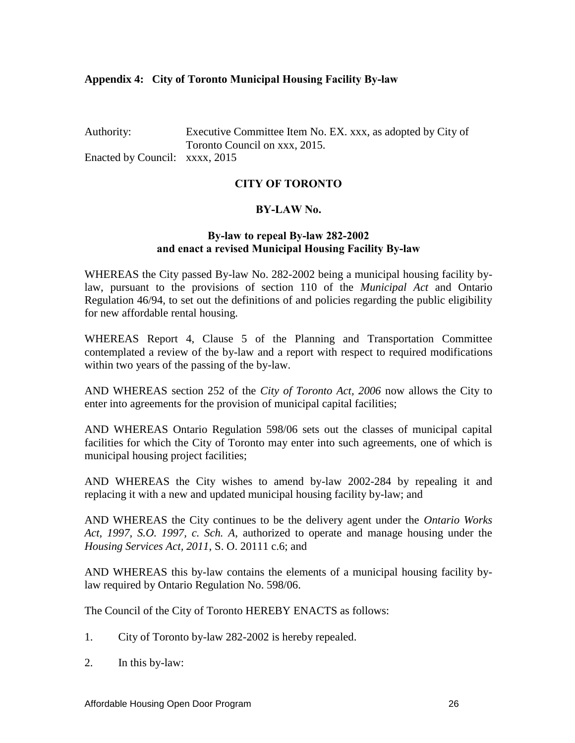#### **Appendix 4: City of Toronto Municipal Housing Facility By-law**

Authority: Executive Committee Item No. EX. xxx, as adopted by City of Toronto Council on xxx, 2015. Enacted by Council: xxxx, 2015

#### **CITY OF TORONTO**

#### **BY-LAW No.**

#### **By-law to repeal By-law 282-2002 and enact a revised Municipal Housing Facility By-law**

WHEREAS the City passed By-law No. 282-2002 being a municipal housing facility bylaw, pursuant to the provisions of section 110 of the *Municipal Act* and Ontario Regulation 46/94, to set out the definitions of and policies regarding the public eligibility for new affordable rental housing.

WHEREAS Report 4, Clause 5 of the Planning and Transportation Committee contemplated a review of the by-law and a report with respect to required modifications within two years of the passing of the by-law.

AND WHEREAS section 252 of the *City of Toronto Act, 2006* now allows the City to enter into agreements for the provision of municipal capital facilities;

AND WHEREAS Ontario Regulation 598/06 sets out the classes of municipal capital facilities for which the City of Toronto may enter into such agreements, one of which is municipal housing project facilities;

AND WHEREAS the City wishes to amend by-law 2002-284 by repealing it and replacing it with a new and updated municipal housing facility by-law; and

AND WHEREAS the City continues to be the delivery agent under the *Ontario Works Act, 1997, S.O. 1997, c. Sch. A*, authorized to operate and manage housing under the *Housing Services Act, 2011*, S. O. 20111 c.6; and

AND WHEREAS this by-law contains the elements of a municipal housing facility bylaw required by Ontario Regulation No. 598/06.

The Council of the City of Toronto HEREBY ENACTS as follows:

- 1. City of Toronto by-law 282-2002 is hereby repealed.
- 2. In this by-law: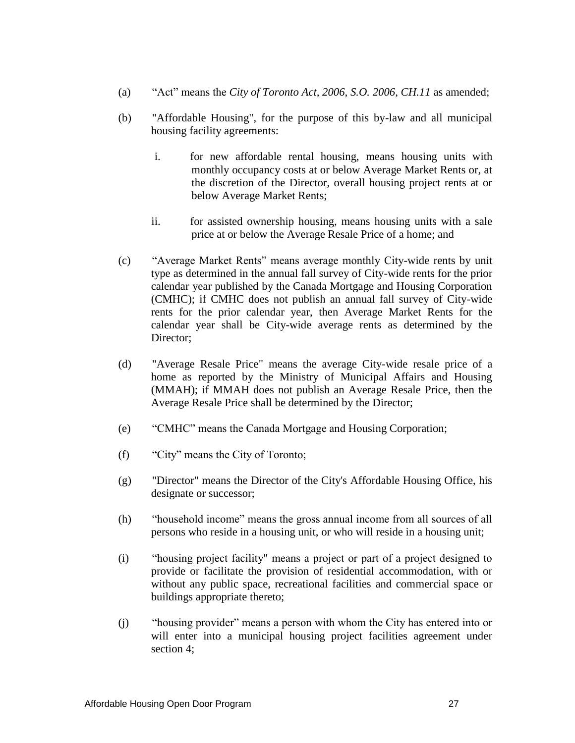- (a) "Act" means the *City of Toronto Act, 2006, S.O. 2006, CH.11* as amended;
- (b) "Affordable Housing", for the purpose of this by-law and all municipal housing facility agreements:
	- i. for new affordable rental housing, means housing units with monthly occupancy costs at or below Average Market Rents or, at the discretion of the Director, overall housing project rents at or below Average Market Rents;
	- ii. for assisted ownership housing, means housing units with a sale price at or below the Average Resale Price of a home; and
- (c) "Average Market Rents" means average monthly City-wide rents by unit type as determined in the annual fall survey of City-wide rents for the prior calendar year published by the Canada Mortgage and Housing Corporation (CMHC); if CMHC does not publish an annual fall survey of City-wide rents for the prior calendar year, then Average Market Rents for the calendar year shall be City-wide average rents as determined by the Director;
- (d) "Average Resale Price" means the average City-wide resale price of a home as reported by the Ministry of Municipal Affairs and Housing (MMAH); if MMAH does not publish an Average Resale Price, then the Average Resale Price shall be determined by the Director;
- (e) "CMHC" means the Canada Mortgage and Housing Corporation;
- (f) "City" means the City of Toronto;
- (g) "Director" means the Director of the City's Affordable Housing Office, his designate or successor;
- (h) "household income" means the gross annual income from all sources of all persons who reside in a housing unit, or who will reside in a housing unit;
- (i) "housing project facility" means a project or part of a project designed to provide or facilitate the provision of residential accommodation, with or without any public space, recreational facilities and commercial space or buildings appropriate thereto;
- (j) "housing provider" means a person with whom the City has entered into or will enter into a municipal housing project facilities agreement under section 4;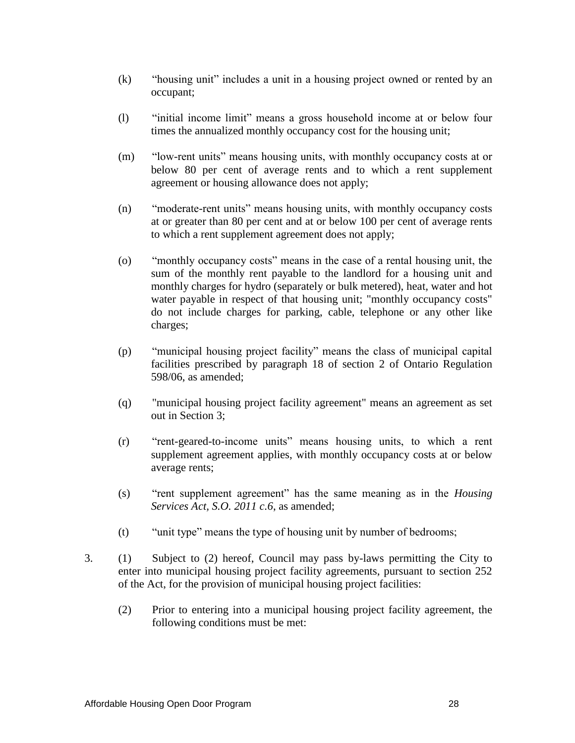- (k) "housing unit" includes a unit in a housing project owned or rented by an occupant;
- (l) "initial income limit" means a gross household income at or below four times the annualized monthly occupancy cost for the housing unit;
- (m) "low-rent units" means housing units, with monthly occupancy costs at or below 80 per cent of average rents and to which a rent supplement agreement or housing allowance does not apply;
- (n) "moderate-rent units" means housing units, with monthly occupancy costs at or greater than 80 per cent and at or below 100 per cent of average rents to which a rent supplement agreement does not apply;
- (o) "monthly occupancy costs" means in the case of a rental housing unit, the sum of the monthly rent payable to the landlord for a housing unit and monthly charges for hydro (separately or bulk metered), heat*,* water and hot water payable in respect of that housing unit; "monthly occupancy costs" do not include charges for parking, cable, telephone or any other like charges;
- (p) "municipal housing project facility" means the class of municipal capital facilities prescribed by paragraph 18 of section 2 of Ontario Regulation 598/06, as amended;
- (q) "municipal housing project facility agreement" means an agreement as set out in Section 3;
- (r) "rent-geared-to-income units" means housing units, to which a rent supplement agreement applies, with monthly occupancy costs at or below average rents;
- (s) "rent supplement agreement" has the same meaning as in the *Housing Services Act, S.O. 2011 c.6*, as amended;
- (t) "unit type" means the type of housing unit by number of bedrooms;
- 3. (1) Subject to (2) hereof, Council may pass by-laws permitting the City to enter into municipal housing project facility agreements, pursuant to section 252 of the Act, for the provision of municipal housing project facilities:
	- (2) Prior to entering into a municipal housing project facility agreement, the following conditions must be met: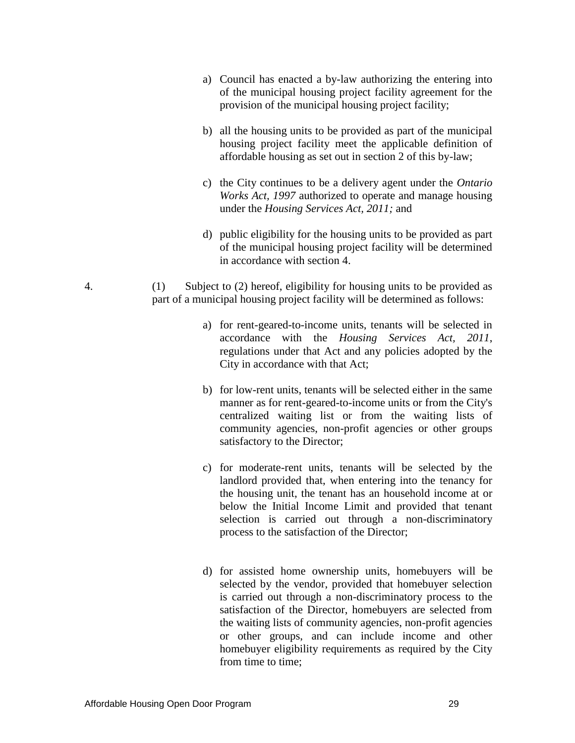- a) Council has enacted a by-law authorizing the entering into of the municipal housing project facility agreement for the provision of the municipal housing project facility;
- b) all the housing units to be provided as part of the municipal housing project facility meet the applicable definition of affordable housing as set out in section 2 of this by-law;
- c) the City continues to be a delivery agent under the *Ontario Works Act, 1997* authorized to operate and manage housing under the *Housing Services Act, 2011;* and
- d) public eligibility for the housing units to be provided as part of the municipal housing project facility will be determined in accordance with section 4.
- 4.(1) Subject to (2) hereof, eligibility for housing units to be provided as part of a municipal housing project facility will be determined as follows:
	- a) for rent-geared-to-income units, tenants will be selected in accordance with the *Housing Services Act, 2011*, regulations under that Act and any policies adopted by the City in accordance with that Act;
	- b) for low-rent units, tenants will be selected either in the same manner as for rent-geared-to-income units or from the City's centralized waiting list or from the waiting lists of community agencies, non-profit agencies or other groups satisfactory to the Director;
	- c) for moderate-rent units, tenants will be selected by the landlord provided that, when entering into the tenancy for the housing unit, the tenant has an household income at or below the Initial Income Limit and provided that tenant selection is carried out through a non-discriminatory process to the satisfaction of the Director;
	- d) for assisted home ownership units, homebuyers will be selected by the vendor, provided that homebuyer selection is carried out through a non-discriminatory process to the satisfaction of the Director, homebuyers are selected from the waiting lists of community agencies, non-profit agencies or other groups, and can include income and other homebuyer eligibility requirements as required by the City from time to time;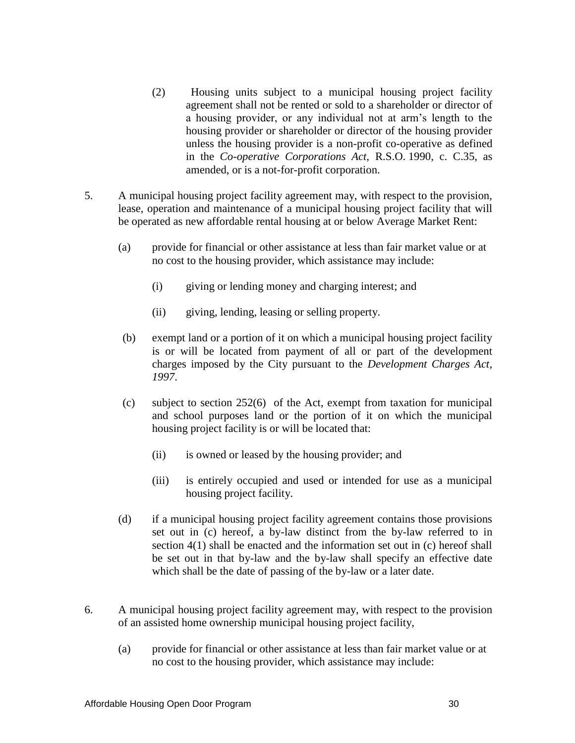- (2) Housing units subject to a municipal housing project facility agreement shall not be rented or sold to a shareholder or director of a housing provider, or any individual not at arm's length to the housing provider or shareholder or director of the housing provider unless the housing provider is a non-profit co-operative as defined in the *Co-operative Corporations Act,* R.S.O. 1990, c. C.35, as amended, or is a not-for-profit corporation.
- 5. A municipal housing project facility agreement may, with respect to the provision, lease, operation and maintenance of a municipal housing project facility that will be operated as new affordable rental housing at or below Average Market Rent:
	- (a) provide for financial or other assistance at less than fair market value or at no cost to the housing provider, which assistance may include:
		- (i) giving or lending money and charging interest; and
		- (ii) giving, lending, leasing or selling property.
	- (b) exempt land or a portion of it on which a municipal housing project facility is or will be located from payment of all or part of the development charges imposed by the City pursuant to the *Development Charges Act, 1997*.
	- (c) subject to section 252(6) of the Act, exempt from taxation for municipal and school purposes land or the portion of it on which the municipal housing project facility is or will be located that:
		- (ii) is owned or leased by the housing provider; and
		- (iii) is entirely occupied and used or intended for use as a municipal housing project facility.
	- (d) if a municipal housing project facility agreement contains those provisions set out in (c) hereof, a by-law distinct from the by-law referred to in section 4(1) shall be enacted and the information set out in (c) hereof shall be set out in that by-law and the by-law shall specify an effective date which shall be the date of passing of the by-law or a later date.
- 6. A municipal housing project facility agreement may, with respect to the provision of an assisted home ownership municipal housing project facility,
	- (a) provide for financial or other assistance at less than fair market value or at no cost to the housing provider, which assistance may include: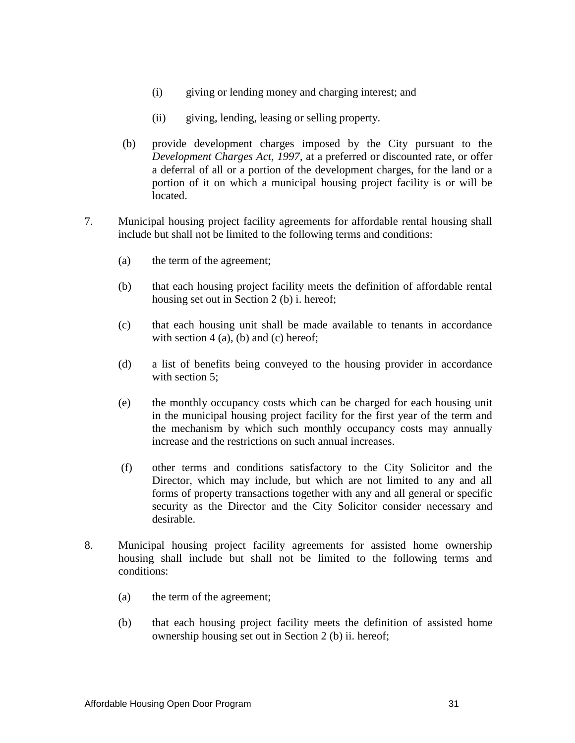- (i) giving or lending money and charging interest; and
- (ii) giving, lending, leasing or selling property.
- (b) provide development charges imposed by the City pursuant to the *Development Charges Act, 1997*, at a preferred or discounted rate, or offer a deferral of all or a portion of the development charges, for the land or a portion of it on which a municipal housing project facility is or will be located.
- 7. Municipal housing project facility agreements for affordable rental housing shall include but shall not be limited to the following terms and conditions:
	- (a) the term of the agreement;
	- (b) that each housing project facility meets the definition of affordable rental housing set out in Section 2 (b) i. hereof;
	- (c) that each housing unit shall be made available to tenants in accordance with section  $4$  (a), (b) and (c) hereof;
	- (d) a list of benefits being conveyed to the housing provider in accordance with section 5;
	- (e) the monthly occupancy costs which can be charged for each housing unit in the municipal housing project facility for the first year of the term and the mechanism by which such monthly occupancy costs may annually increase and the restrictions on such annual increases.
	- (f) other terms and conditions satisfactory to the City Solicitor and the Director, which may include, but which are not limited to any and all forms of property transactions together with any and all general or specific security as the Director and the City Solicitor consider necessary and desirable.
- 8. Municipal housing project facility agreements for assisted home ownership housing shall include but shall not be limited to the following terms and conditions:
	- (a) the term of the agreement;
	- (b) that each housing project facility meets the definition of assisted home ownership housing set out in Section 2 (b) ii. hereof;